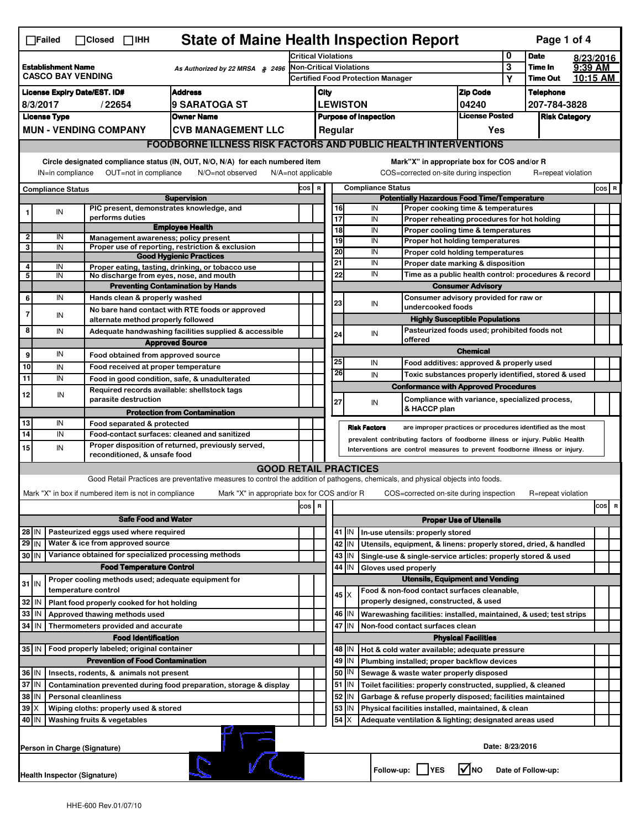| <b>State of Maine Health Inspection Report</b><br>Page 1 of 4<br>$\Box$ Failed<br>$\Box$ Closed $\Box$ IHH |                                                                                                                                                                                                                                                                                           |                     |                                                                             |                                                                                                                                   |                            |                                                       |                                                                              |             |                                                                                                       |              |                                                                                       |                            |                         |                    |         |          |
|------------------------------------------------------------------------------------------------------------|-------------------------------------------------------------------------------------------------------------------------------------------------------------------------------------------------------------------------------------------------------------------------------------------|---------------------|-----------------------------------------------------------------------------|-----------------------------------------------------------------------------------------------------------------------------------|----------------------------|-------------------------------------------------------|------------------------------------------------------------------------------|-------------|-------------------------------------------------------------------------------------------------------|--------------|---------------------------------------------------------------------------------------|----------------------------|-------------------------|--------------------|---------|----------|
|                                                                                                            |                                                                                                                                                                                                                                                                                           |                     |                                                                             |                                                                                                                                   | <b>Critical Violations</b> |                                                       |                                                                              |             |                                                                                                       |              | 0                                                                                     | <b>Date</b>                |                         | 8/23/2016          |         |          |
| <b>Establishment Name</b><br>As Authorized by 22 MRSA § 2496<br><b>CASCO BAY VENDING</b>                   |                                                                                                                                                                                                                                                                                           |                     |                                                                             |                                                                                                                                   |                            | <b>Non-Critical Violations</b>                        |                                                                              |             |                                                                                                       |              |                                                                                       |                            | $\overline{\mathbf{3}}$ | Time In            | 9:39 AM |          |
|                                                                                                            |                                                                                                                                                                                                                                                                                           |                     |                                                                             |                                                                                                                                   |                            |                                                       | <b>Certified Food Protection Manager</b>                                     |             |                                                                                                       |              |                                                                                       |                            | Υ                       | <b>Time Out</b>    |         | 10:15 AM |
| <b>Address</b><br><b>License Expiry Date/EST. ID#</b>                                                      |                                                                                                                                                                                                                                                                                           |                     |                                                                             |                                                                                                                                   |                            | City                                                  |                                                                              |             |                                                                                                       |              |                                                                                       | <b>Zip Code</b>            |                         | <b>Telephone</b>   |         |          |
| l9 SARATOGA ST<br>8/3/2017<br>/22654                                                                       |                                                                                                                                                                                                                                                                                           |                     |                                                                             |                                                                                                                                   |                            | <b>LEWISTON</b><br>04240                              |                                                                              |             |                                                                                                       | 207-784-3828 |                                                                                       |                            |                         |                    |         |          |
| <b>License Type</b><br><b>Owner Name</b><br><b>MUN - VENDING COMPANY</b>                                   |                                                                                                                                                                                                                                                                                           |                     |                                                                             |                                                                                                                                   |                            | <b>License Posted</b><br><b>Purpose of Inspection</b> |                                                                              |             |                                                                                                       |              | <b>Risk Category</b>                                                                  |                            |                         |                    |         |          |
|                                                                                                            |                                                                                                                                                                                                                                                                                           |                     |                                                                             | <b>CVB MANAGEMENT LLC</b>                                                                                                         | Regular<br>Yes             |                                                       |                                                                              |             |                                                                                                       |              |                                                                                       |                            |                         |                    |         |          |
|                                                                                                            | <b>FOODBORNE ILLNESS RISK FACTORS AND PUBLIC HEALTH INTERVENTIONS</b>                                                                                                                                                                                                                     |                     |                                                                             |                                                                                                                                   |                            |                                                       |                                                                              |             |                                                                                                       |              |                                                                                       |                            |                         |                    |         |          |
|                                                                                                            | Circle designated compliance status (IN, OUT, N/O, N/A) for each numbered item<br>Mark"X" in appropriate box for COS and/or R<br>OUT=not in compliance<br>N/O=not observed<br>COS=corrected on-site during inspection<br>IN=in compliance<br>$N/A = not$ applicable<br>R=repeat violation |                     |                                                                             |                                                                                                                                   |                            |                                                       |                                                                              |             |                                                                                                       |              |                                                                                       |                            |                         |                    |         |          |
| <b>Compliance Status</b><br>COS R<br><b>Compliance Status</b>                                              |                                                                                                                                                                                                                                                                                           |                     |                                                                             |                                                                                                                                   |                            |                                                       |                                                                              |             | COS R                                                                                                 |              |                                                                                       |                            |                         |                    |         |          |
| <b>Supervision</b>                                                                                         |                                                                                                                                                                                                                                                                                           |                     |                                                                             |                                                                                                                                   |                            |                                                       | <b>Potentially Hazardous Food Time/Temperature</b>                           |             |                                                                                                       |              |                                                                                       |                            |                         |                    |         |          |
|                                                                                                            | IN                                                                                                                                                                                                                                                                                        |                     |                                                                             | PIC present, demonstrates knowledge, and                                                                                          |                            |                                                       |                                                                              | 16          | IN                                                                                                    |              | Proper cooking time & temperatures                                                    |                            |                         |                    |         |          |
|                                                                                                            |                                                                                                                                                                                                                                                                                           |                     | performs duties                                                             | <b>Employee Health</b>                                                                                                            |                            |                                                       |                                                                              | 17<br>18    | IN                                                                                                    |              | Proper reheating procedures for hot holding                                           |                            |                         |                    |         |          |
| 2                                                                                                          | IN                                                                                                                                                                                                                                                                                        |                     |                                                                             | Management awareness; policy present                                                                                              |                            |                                                       |                                                                              | 19          | IN<br>IN                                                                                              |              | Proper cooling time & temperatures<br>Proper hot holding temperatures                 |                            |                         |                    |         |          |
| 3                                                                                                          | IN                                                                                                                                                                                                                                                                                        |                     |                                                                             | Proper use of reporting, restriction & exclusion                                                                                  |                            |                                                       |                                                                              | 20          | IN                                                                                                    |              | Proper cold holding temperatures                                                      |                            |                         |                    |         |          |
| 4                                                                                                          | IN                                                                                                                                                                                                                                                                                        |                     |                                                                             | <b>Good Hygienic Practices</b><br>Proper eating, tasting, drinking, or tobacco use                                                |                            |                                                       |                                                                              | 21          | IN                                                                                                    |              | Proper date marking & disposition                                                     |                            |                         |                    |         |          |
| 5                                                                                                          | IN                                                                                                                                                                                                                                                                                        |                     |                                                                             | No discharge from eyes, nose, and mouth                                                                                           |                            |                                                       |                                                                              | 22          | IN                                                                                                    |              | Time as a public health control: procedures & record                                  |                            |                         |                    |         |          |
|                                                                                                            |                                                                                                                                                                                                                                                                                           |                     |                                                                             | <b>Preventing Contamination by Hands</b>                                                                                          |                            |                                                       |                                                                              |             |                                                                                                       |              | <b>Consumer Advisory</b>                                                              |                            |                         |                    |         |          |
| 6                                                                                                          | IN                                                                                                                                                                                                                                                                                        |                     | Hands clean & properly washed                                               |                                                                                                                                   |                            |                                                       |                                                                              | 23          | IN                                                                                                    |              | Consumer advisory provided for raw or                                                 |                            |                         |                    |         |          |
| 7                                                                                                          | IN                                                                                                                                                                                                                                                                                        |                     |                                                                             | No bare hand contact with RTE foods or approved                                                                                   |                            |                                                       |                                                                              |             |                                                                                                       |              | undercooked foods                                                                     |                            |                         |                    |         |          |
| 8                                                                                                          |                                                                                                                                                                                                                                                                                           |                     | alternate method properly followed                                          |                                                                                                                                   |                            |                                                       |                                                                              |             |                                                                                                       |              | <b>Highly Susceptible Populations</b><br>Pasteurized foods used; prohibited foods not |                            |                         |                    |         |          |
|                                                                                                            | IN                                                                                                                                                                                                                                                                                        |                     |                                                                             | Adequate handwashing facilities supplied & accessible<br><b>Approved Source</b>                                                   |                            |                                                       |                                                                              | 24          | IN                                                                                                    |              | offered                                                                               |                            |                         |                    |         |          |
| 9                                                                                                          | IN                                                                                                                                                                                                                                                                                        |                     | Food obtained from approved source                                          |                                                                                                                                   |                            |                                                       |                                                                              |             |                                                                                                       |              |                                                                                       | <b>Chemical</b>            |                         |                    |         |          |
| 10                                                                                                         | IN                                                                                                                                                                                                                                                                                        |                     | Food received at proper temperature                                         |                                                                                                                                   |                            |                                                       |                                                                              | 25          | IN                                                                                                    |              | Food additives: approved & properly used                                              |                            |                         |                    |         |          |
| 11                                                                                                         | IN                                                                                                                                                                                                                                                                                        |                     |                                                                             | Food in good condition, safe, & unadulterated                                                                                     |                            |                                                       |                                                                              | 26          | IN                                                                                                    |              | Toxic substances properly identified, stored & used                                   |                            |                         |                    |         |          |
|                                                                                                            |                                                                                                                                                                                                                                                                                           |                     |                                                                             | Required records available: shellstock tags                                                                                       |                            |                                                       |                                                                              |             |                                                                                                       |              | <b>Conformance with Approved Procedures</b>                                           |                            |                         |                    |         |          |
| 12                                                                                                         | IN                                                                                                                                                                                                                                                                                        |                     | parasite destruction                                                        |                                                                                                                                   |                            |                                                       |                                                                              | 27          | IN                                                                                                    |              | Compliance with variance, specialized process,                                        |                            |                         |                    |         |          |
|                                                                                                            |                                                                                                                                                                                                                                                                                           |                     |                                                                             | <b>Protection from Contamination</b>                                                                                              |                            |                                                       |                                                                              |             |                                                                                                       |              | & HACCP plan                                                                          |                            |                         |                    |         |          |
| 13                                                                                                         | IN                                                                                                                                                                                                                                                                                        |                     | Food separated & protected                                                  |                                                                                                                                   |                            |                                                       |                                                                              |             | <b>Risk Factors</b>                                                                                   |              | are improper practices or procedures identified as the most                           |                            |                         |                    |         |          |
| $\overline{14}$                                                                                            | IN                                                                                                                                                                                                                                                                                        |                     |                                                                             | Food-contact surfaces: cleaned and sanitized<br>Proper disposition of returned, previously served,                                |                            |                                                       | prevalent contributing factors of foodborne illness or injury. Public Health |             |                                                                                                       |              |                                                                                       |                            |                         |                    |         |          |
| 15                                                                                                         | IN                                                                                                                                                                                                                                                                                        |                     | reconditioned, & unsafe food                                                |                                                                                                                                   |                            |                                                       | Interventions are control measures to prevent foodborne illness or injury.   |             |                                                                                                       |              |                                                                                       |                            |                         |                    |         |          |
|                                                                                                            |                                                                                                                                                                                                                                                                                           |                     |                                                                             | <b>GOOD RETAIL PRACTICES</b>                                                                                                      |                            |                                                       |                                                                              |             |                                                                                                       |              |                                                                                       |                            |                         |                    |         |          |
|                                                                                                            |                                                                                                                                                                                                                                                                                           |                     |                                                                             | Good Retail Practices are preventative measures to control the addition of pathogens, chemicals, and physical objects into foods. |                            |                                                       |                                                                              |             |                                                                                                       |              |                                                                                       |                            |                         |                    |         |          |
|                                                                                                            |                                                                                                                                                                                                                                                                                           |                     | Mark "X" in box if numbered item is not in compliance                       | Mark "X" in appropriate box for COS and/or R                                                                                      |                            |                                                       |                                                                              |             |                                                                                                       |              | COS=corrected on-site during inspection                                               |                            |                         | R=repeat violation |         |          |
|                                                                                                            |                                                                                                                                                                                                                                                                                           |                     |                                                                             |                                                                                                                                   | cos                        | R                                                     |                                                                              |             |                                                                                                       |              |                                                                                       |                            |                         |                    |         | cos R    |
|                                                                                                            |                                                                                                                                                                                                                                                                                           |                     | <b>Safe Food and Water</b>                                                  |                                                                                                                                   |                            |                                                       | <b>Proper Use of Utensils</b>                                                |             |                                                                                                       |              |                                                                                       |                            |                         |                    |         |          |
| 28 IN                                                                                                      |                                                                                                                                                                                                                                                                                           |                     | Pasteurized eggs used where required                                        |                                                                                                                                   |                            |                                                       |                                                                              | $41$ IN     |                                                                                                       |              | In-use utensils: properly stored                                                      |                            |                         |                    |         |          |
| 29 IN                                                                                                      |                                                                                                                                                                                                                                                                                           |                     | Water & ice from approved source                                            |                                                                                                                                   |                            |                                                       |                                                                              | 42<br>IN    |                                                                                                       |              | Utensils, equipment, & linens: properly stored, dried, & handled                      |                            |                         |                    |         |          |
| Variance obtained for specialized processing methods<br>30 IN                                              |                                                                                                                                                                                                                                                                                           |                     |                                                                             |                                                                                                                                   |                            |                                                       |                                                                              | 43<br>IN    |                                                                                                       |              | Single-use & single-service articles: properly stored & used                          |                            |                         |                    |         |          |
|                                                                                                            |                                                                                                                                                                                                                                                                                           |                     | <b>Food Temperature Control</b>                                             |                                                                                                                                   |                            |                                                       | 44<br>IN<br>Gloves used properly                                             |             |                                                                                                       |              |                                                                                       |                            |                         |                    |         |          |
| $31$ IN                                                                                                    |                                                                                                                                                                                                                                                                                           |                     |                                                                             | Proper cooling methods used; adequate equipment for                                                                               |                            |                                                       |                                                                              |             |                                                                                                       |              | <b>Utensils, Equipment and Vending</b>                                                |                            |                         |                    |         |          |
|                                                                                                            |                                                                                                                                                                                                                                                                                           | temperature control |                                                                             |                                                                                                                                   |                            |                                                       |                                                                              | $45 \times$ |                                                                                                       |              | Food & non-food contact surfaces cleanable,<br>properly designed, constructed, & used |                            |                         |                    |         |          |
| 32<br>33                                                                                                   | IN<br>IN                                                                                                                                                                                                                                                                                  |                     | Plant food properly cooked for hot holding<br>Approved thawing methods used |                                                                                                                                   |                            |                                                       |                                                                              | 46   IN     |                                                                                                       |              |                                                                                       |                            |                         |                    |         |          |
| 34                                                                                                         | l IN                                                                                                                                                                                                                                                                                      |                     | Thermometers provided and accurate                                          |                                                                                                                                   |                            |                                                       |                                                                              | 47 IN       | Warewashing facilities: installed, maintained, & used; test strips<br>Non-food contact surfaces clean |              |                                                                                       |                            |                         |                    |         |          |
|                                                                                                            |                                                                                                                                                                                                                                                                                           |                     | <b>Food Identification</b>                                                  |                                                                                                                                   |                            |                                                       |                                                                              |             |                                                                                                       |              |                                                                                       | <b>Physical Facilities</b> |                         |                    |         |          |
| 35   IN                                                                                                    |                                                                                                                                                                                                                                                                                           |                     | Food properly labeled; original container                                   |                                                                                                                                   |                            |                                                       |                                                                              | 48   IN     |                                                                                                       |              | Hot & cold water available; adequate pressure                                         |                            |                         |                    |         |          |
|                                                                                                            |                                                                                                                                                                                                                                                                                           |                     | <b>Prevention of Food Contamination</b>                                     |                                                                                                                                   |                            |                                                       |                                                                              | 49<br>IN    |                                                                                                       |              | Plumbing installed; proper backflow devices                                           |                            |                         |                    |         |          |
| 36 IN<br>Insects, rodents, & animals not present                                                           |                                                                                                                                                                                                                                                                                           |                     |                                                                             |                                                                                                                                   |                            |                                                       | 50 <br>IN<br>Sewage & waste water properly disposed                          |             |                                                                                                       |              |                                                                                       |                            |                         |                    |         |          |
| 37 IN<br>Contamination prevented during food preparation, storage & display                                |                                                                                                                                                                                                                                                                                           |                     |                                                                             |                                                                                                                                   |                            |                                                       |                                                                              | $51$ M      |                                                                                                       |              | Toilet facilities: properly constructed, supplied, & cleaned                          |                            |                         |                    |         |          |
| 38<br>ΙN<br><b>Personal cleanliness</b>                                                                    |                                                                                                                                                                                                                                                                                           |                     |                                                                             |                                                                                                                                   |                            |                                                       | 52<br>Garbage & refuse properly disposed; facilities maintained<br>IN        |             |                                                                                                       |              |                                                                                       |                            |                         |                    |         |          |
| $39$ $\times$<br>Wiping cloths: properly used & stored                                                     |                                                                                                                                                                                                                                                                                           |                     |                                                                             |                                                                                                                                   |                            |                                                       |                                                                              | 53<br>IN    |                                                                                                       |              | Physical facilities installed, maintained, & clean                                    |                            |                         |                    |         |          |
|                                                                                                            | 54<br>40   IN<br>Washing fruits & vegetables<br>Adequate ventilation & lighting; designated areas used                                                                                                                                                                                    |                     |                                                                             |                                                                                                                                   |                            |                                                       |                                                                              |             |                                                                                                       |              |                                                                                       |                            |                         |                    |         |          |
|                                                                                                            | Date: 8/23/2016<br>Person in Charge (Signature)                                                                                                                                                                                                                                           |                     |                                                                             |                                                                                                                                   |                            |                                                       |                                                                              |             |                                                                                                       |              |                                                                                       |                            |                         |                    |         |          |
|                                                                                                            | l√Ino<br>Follow-up:  <br>Date of Follow-up:<br><b>IYES</b><br>Health Inspector (Signature)                                                                                                                                                                                                |                     |                                                                             |                                                                                                                                   |                            |                                                       |                                                                              |             |                                                                                                       |              |                                                                                       |                            |                         |                    |         |          |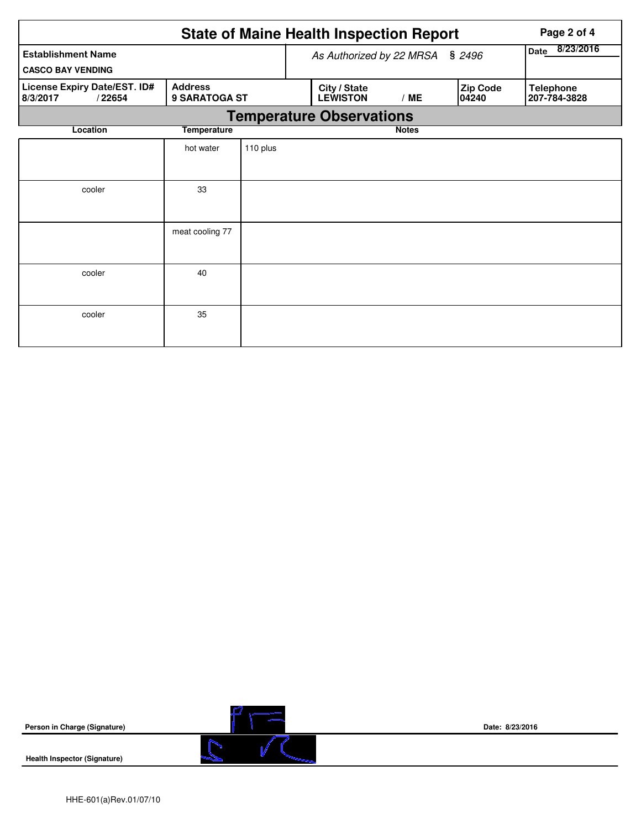|                                                       | <b>State of Maine Health Inspection Report</b> |                          |                |                                 | Page 2 of 4  |  |                   |                                  |  |  |
|-------------------------------------------------------|------------------------------------------------|--------------------------|----------------|---------------------------------|--------------|--|-------------------|----------------------------------|--|--|
| <b>Establishment Name</b><br><b>CASCO BAY VENDING</b> |                                                | As Authorized by 22 MRSA | Date 8/23/2016 |                                 |              |  |                   |                                  |  |  |
| License Expiry Date/EST. ID#<br>8/3/2017<br>/22654    | <b>Address</b><br><b>9 SARATOGA ST</b>         |                          |                | City / State<br><b>LEWISTON</b> | /ME          |  | Zip Code<br>04240 | <b>Telephone</b><br>207-784-3828 |  |  |
| <b>Temperature Observations</b>                       |                                                |                          |                |                                 |              |  |                   |                                  |  |  |
| Location                                              | <b>Temperature</b>                             |                          |                |                                 | <b>Notes</b> |  |                   |                                  |  |  |
|                                                       | hot water                                      | 110 plus                 |                |                                 |              |  |                   |                                  |  |  |
| cooler                                                | 33                                             |                          |                |                                 |              |  |                   |                                  |  |  |
|                                                       | meat cooling 77                                |                          |                |                                 |              |  |                   |                                  |  |  |
| cooler                                                | 40                                             |                          |                |                                 |              |  |                   |                                  |  |  |
| cooler                                                | 35                                             |                          |                |                                 |              |  |                   |                                  |  |  |

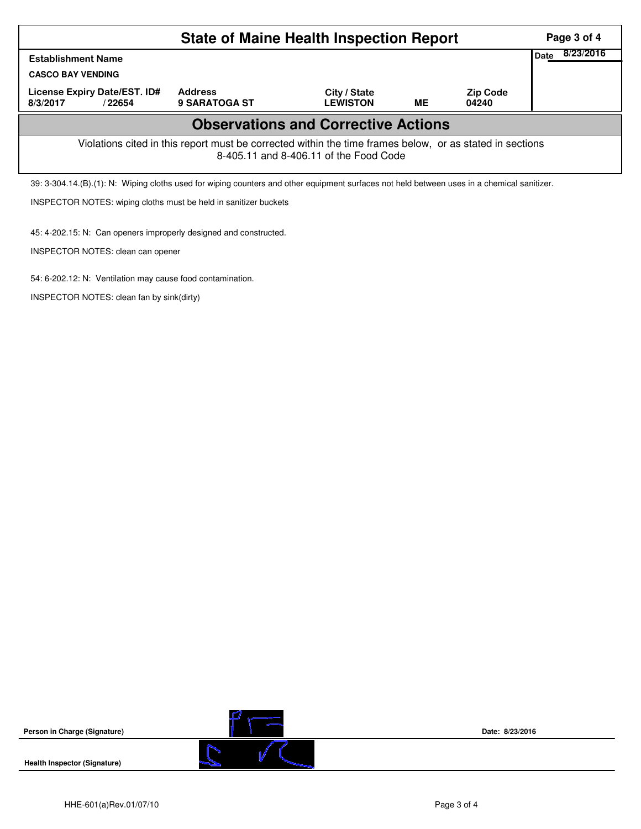|                                                                                                                                                    | Page 3 of 4                            |                                 |    |                          |  |  |  |  |  |
|----------------------------------------------------------------------------------------------------------------------------------------------------|----------------------------------------|---------------------------------|----|--------------------------|--|--|--|--|--|
| <b>Establishment Name</b>                                                                                                                          | 8/23/2016<br>Date                      |                                 |    |                          |  |  |  |  |  |
|                                                                                                                                                    | <b>CASCO BAY VENDING</b>               |                                 |    |                          |  |  |  |  |  |
| License Expiry Date/EST. ID#<br>8/3/2017<br>/22654                                                                                                 | <b>Address</b><br><b>9 SARATOGA ST</b> | City / State<br><b>LEWISTON</b> | ME | <b>Zip Code</b><br>04240 |  |  |  |  |  |
| <b>Observations and Corrective Actions</b>                                                                                                         |                                        |                                 |    |                          |  |  |  |  |  |
| Violations cited in this report must be corrected within the time frames below, or as stated in sections<br>8-405.11 and 8-406.11 of the Food Code |                                        |                                 |    |                          |  |  |  |  |  |
| 39: 3-304.14.(B).(1): N: Wiping cloths used for wiping counters and other equipment surfaces not held between uses in a chemical sanitizer.        |                                        |                                 |    |                          |  |  |  |  |  |

INSPECTOR NOTES: wiping cloths must be held in sanitizer buckets

45: 4-202.15: N: Can openers improperly designed and constructed.

INSPECTOR NOTES: clean can opener

54: 6-202.12: N: Ventilation may cause food contamination.

INSPECTOR NOTES: clean fan by sink(dirty)